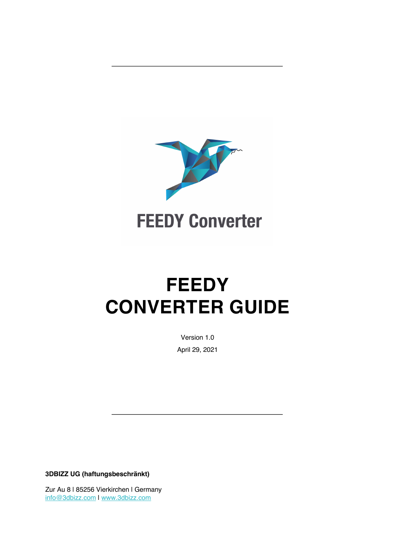

# **FEEDY CONVERTER GUIDE**

Version 1.0 April 29, 2021

**3DBIZZ UG (haftungsbeschränkt)**

Zur Au 8 | 85256 Vierkirchen | Germany info@3dbizz.com | www.3dbizz.com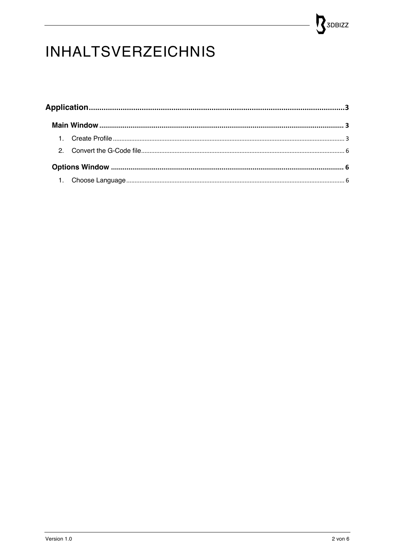## SOBIZZ

### **INHALTSVERZEICHNIS**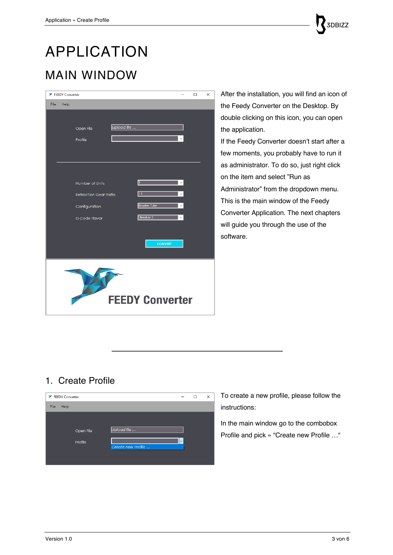### APPLICATION MAIN WINDOW

| <b>X</b> FEEDY Converter |                              |             |                    |  | $\Box$ | $\times$ |  |
|--------------------------|------------------------------|-------------|--------------------|--|--------|----------|--|
| File<br>Help             |                              |             |                    |  |        |          |  |
|                          |                              |             |                    |  |        |          |  |
|                          | Open File                    | Upload file |                    |  |        |          |  |
|                          | Profile                      |             |                    |  |        |          |  |
|                          |                              |             |                    |  |        |          |  |
|                          |                              |             |                    |  |        |          |  |
|                          |                              |             |                    |  |        |          |  |
|                          |                              |             |                    |  |        |          |  |
|                          | Number of Units              |             | 3                  |  |        |          |  |
|                          | <b>Retraction Gear Ratio</b> |             | 1:1                |  |        |          |  |
|                          | Configuration                |             | <b>Bowden Tube</b> |  |        |          |  |
|                          | G-Code Flavor                |             | Ultimaker 2        |  |        |          |  |
|                          |                              |             |                    |  |        |          |  |
|                          |                              |             |                    |  |        |          |  |
|                          |                              |             | <b>CONVERT</b>     |  |        |          |  |
|                          |                              |             |                    |  |        |          |  |
|                          |                              |             |                    |  |        |          |  |
|                          |                              |             |                    |  |        |          |  |
|                          |                              |             |                    |  |        |          |  |
| <b>FEEDY Converter</b>   |                              |             |                    |  |        |          |  |
|                          |                              |             |                    |  |        |          |  |

After the installation, you will find an icon of the Feedy Converter on the Desktop. By double clicking on this icon, you can open the application.

If the Feedy Converter doesn't start after a few moments, you probably have to run it as administrator. To do so, just right click on the item and select "Run as Administrator" from the dropdown menu. This is the main window of the Feedy Converter Application. The next chapters will guide you through the use of the software.

#### 1. Create Profile



To create a new profile, please follow the instructions:

In the main window go to the combobox Profile and pick » "Create new Profile …"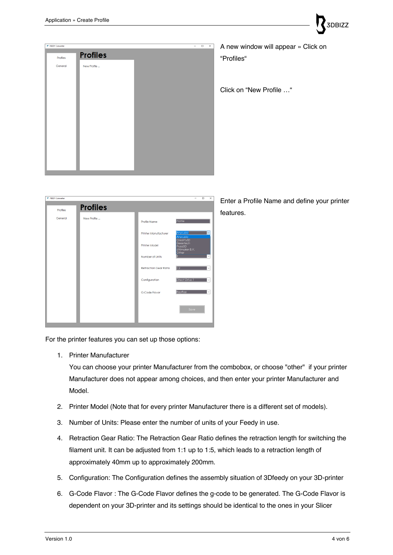

A new window will appear » Click on "Profiles"

3DBIZZ

Click on "New Profile …"

Enter a Profile Name and define your printer features.

| <b>X</b> FEEDY Converter |                 |                              | $\Box$<br>$\times$<br>-                             |
|--------------------------|-----------------|------------------------------|-----------------------------------------------------|
| Profiles                 | <b>Profiles</b> |                              |                                                     |
| General                  | New Profile     | Profile Name                 | Profile                                             |
|                          |                 | <b>Printer Manufacturer</b>  | Anycubic<br>Anycubic                                |
|                          |                 | <b>Printer Model</b>         | Creality3D<br>Geeetech<br>Prusa3D<br>Ultimaker B.V. |
|                          |                 | Number of Units              | Other                                               |
|                          |                 | <b>Retraction Gear Ratio</b> | $\overline{1:2}$                                    |
|                          |                 | Configuration                | Direct Drive 1                                      |
|                          |                 | G-Code Flavor                | RepRap                                              |
|                          |                 |                              |                                                     |
|                          |                 |                              | Save                                                |
|                          |                 |                              |                                                     |

For the printer features you can set up those options:

1. Printer Manufacturer

You can choose your printer Manufacturer from the combobox, or choose "other" if your printer Manufacturer does not appear among choices, and then enter your printer Manufacturer and Model.

- 2. Printer Model (Note that for every printer Manufacturer there is a different set of models).
- 3. Number of Units: Please enter the number of units of your Feedy in use.
- 4. Retraction Gear Ratio: The Retraction Gear Ratio defines the retraction length for switching the filament unit. It can be adjusted from 1:1 up to 1:5, which leads to a retraction length of approximately 40mm up to approximately 200mm.
- 5. Configuration: The Configuration defines the assembly situation of 3Dfeedy on your 3D-printer
- 6. G-Code Flavor : The G-Code Flavor defines the g-code to be generated. The G-Code Flavor is dependent on your 3D-printer and its settings should be identical to the ones in your Slicer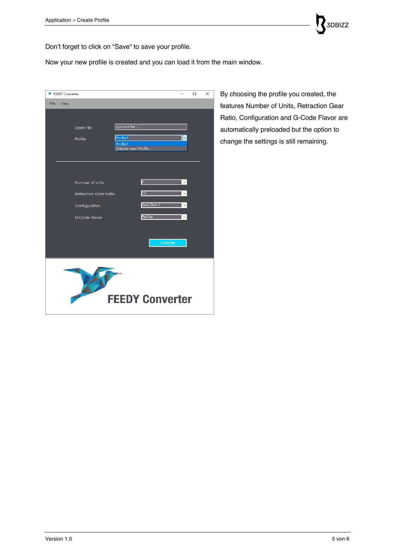

Don't forget to click on "Save" to save your profile.

Now your new profile is created and you can load it from the main window.

| <b>X</b> FEEDY Converter     |                        |                |              | □ | $\times$ |  |  |
|------------------------------|------------------------|----------------|--------------|---|----------|--|--|
| File<br>Help                 |                        |                |              |   |          |  |  |
|                              |                        |                |              |   |          |  |  |
|                              | Upload file            |                |              |   |          |  |  |
| Open File                    |                        |                |              |   |          |  |  |
| Profile                      | Profile 1<br>Profile 1 |                |              |   |          |  |  |
|                              | Create new Profile     |                |              |   |          |  |  |
|                              |                        |                |              |   |          |  |  |
|                              |                        |                |              |   |          |  |  |
| Number of Units              |                        | 3              |              |   |          |  |  |
|                              |                        |                |              |   |          |  |  |
| <b>Retraction Gear Ratio</b> |                        | 1:2            | $\checkmark$ |   |          |  |  |
| Configuration                |                        | Direct Drive 1 | $\checkmark$ |   |          |  |  |
| G-Code Flavor                |                        | RepRap         | $\checkmark$ |   |          |  |  |
|                              |                        |                |              |   |          |  |  |
|                              |                        |                |              |   |          |  |  |
|                              |                        | <b>CONVERT</b> |              |   |          |  |  |
|                              |                        |                |              |   |          |  |  |
|                              |                        |                |              |   |          |  |  |
|                              |                        |                |              |   |          |  |  |
|                              |                        |                |              |   |          |  |  |
|                              |                        |                |              |   |          |  |  |
| <b>FEEDY Converter</b>       |                        |                |              |   |          |  |  |
|                              |                        |                |              |   |          |  |  |

By choosing the profile you created, the features Number of Units, Retraction Gear Ratio, Configuration and G-Code Flavor are automatically preloaded but the option to change the settings is still remaining.